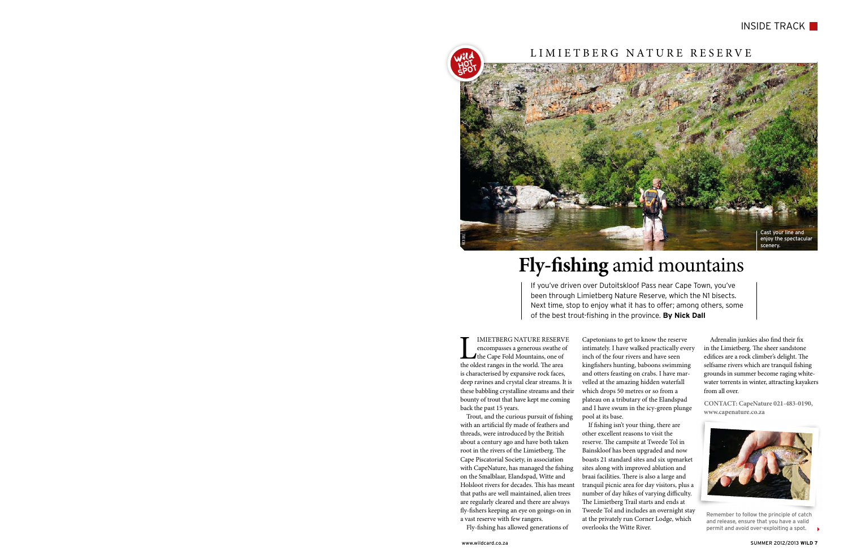IMIETBERG NATURE RESERVE<br>encompasses a generous swathe of<br>the Cape Fold Mountains, one of<br>the oldest ranges in the world. The area encompasses a generous swathe of the Cape Fold Mountains, one of the oldest ranges in the world. The area is characterised by expansive rock faces, deep ravines and crystal clear streams. It is these babbling crystalline streams and their bounty of trout that have kept me coming back the past 15 years.

Trout, and the curious pursuit of fishing with an artificial fly made of feathers and threads, were introduced by the British about a century ago and have both taken root in the rivers of the Limietberg. The Cape Piscatorial Society, in association with CapeNature, has managed the fishing on the Smalblaar, Elandspad, Witte and Holsloot rivers for decades. This has meant that paths are well maintained, alien trees are regularly cleared and there are always fly-fishers keeping an eye on goings-on in a vast reserve with few rangers.

Fly-fishing has allowed generations of

Capetonians to get to know the reserve intimately. I have walked practically every inch of the four rivers and have seen kingfishers hunting, baboons swimming and otters feasting on crabs. I have marvelled at the amazing hidden waterfall which drops 50 metres or so from a plateau on a tributary of the Elandspad and I have swum in the icy-green plunge pool at its base.

If fishing isn't your thing, there are other excellent reasons to visit the reserve. The campsite at Tweede Tol in Bainskloof has been upgraded and now boasts 21 standard sites and six upmarket sites along with improved ablution and braai facilities. There is also a large and tranquil picnic area for day visitors, plus a number of day hikes of varying difficulty. The Limietberg Trail starts and ends at Tweede Tol and includes an overnight stay at the privately run Corner Lodge, which overlooks the Witte River.

Adrenalin junkies also find their fix in the Limietberg. The sheer sandstone edifices are a rock climber's delight. The selfsame rivers which are tranquil fishing grounds in summer become raging whitewater torrents in winter, attracting kayakers from all over.

**Contact: CapeNature 021-483-0190, www.capenature.co.za**

## **Fly-fishing** amid mountains

If you've driven over Dutoitskloof Pass near Cape Town, you've been through Limietberg Nature Reserve, which the N1 bisects. Next time, stop to enjoy what it has to offer; among others, some of the best trout-fishing in the province. **By Nick Dall**

> Remember to follow the principle of catch and release, ensure that you have a valid permit and avoid over-exploiting a spot.



#### INSIDE TRACK